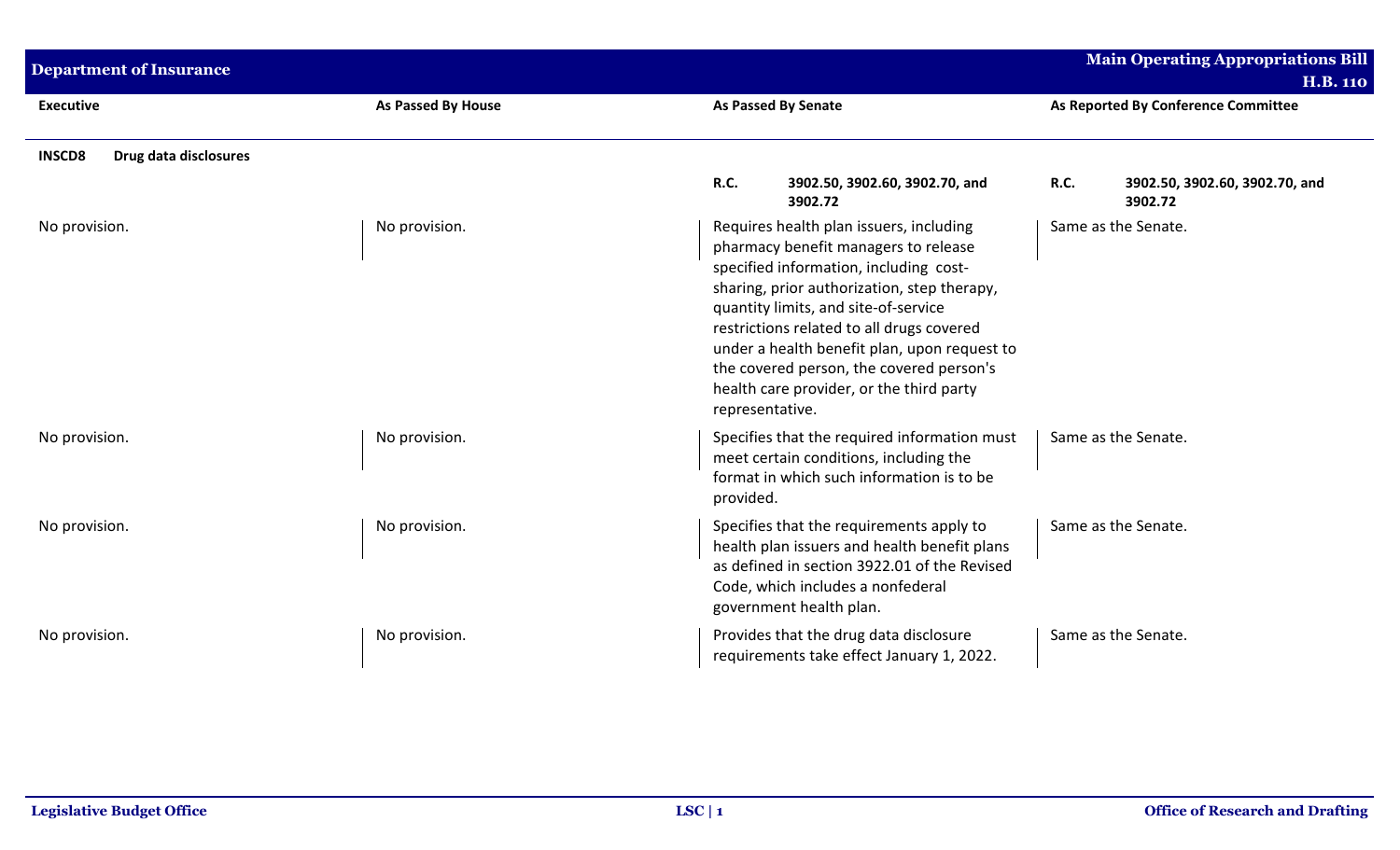| <b>Department of Insurance</b>         |                    |                                                                                                                                                                                                                                                                                                                                                                                                                          | <b>Main Operating Appropriations Bill</b><br><b>H.B. 110</b> |
|----------------------------------------|--------------------|--------------------------------------------------------------------------------------------------------------------------------------------------------------------------------------------------------------------------------------------------------------------------------------------------------------------------------------------------------------------------------------------------------------------------|--------------------------------------------------------------|
| <b>Executive</b>                       | As Passed By House | <b>As Passed By Senate</b>                                                                                                                                                                                                                                                                                                                                                                                               | As Reported By Conference Committee                          |
| <b>INSCD8</b><br>Drug data disclosures |                    |                                                                                                                                                                                                                                                                                                                                                                                                                          |                                                              |
|                                        |                    | <b>R.C.</b><br>3902.50, 3902.60, 3902.70, and<br>3902.72                                                                                                                                                                                                                                                                                                                                                                 | R.C.<br>3902.50, 3902.60, 3902.70, and<br>3902.72            |
| No provision.                          | No provision.      | Requires health plan issuers, including<br>pharmacy benefit managers to release<br>specified information, including cost-<br>sharing, prior authorization, step therapy,<br>quantity limits, and site-of-service<br>restrictions related to all drugs covered<br>under a health benefit plan, upon request to<br>the covered person, the covered person's<br>health care provider, or the third party<br>representative. | Same as the Senate.                                          |
| No provision.                          | No provision.      | Specifies that the required information must<br>meet certain conditions, including the<br>format in which such information is to be<br>provided.                                                                                                                                                                                                                                                                         | Same as the Senate.                                          |
| No provision.                          | No provision.      | Specifies that the requirements apply to<br>health plan issuers and health benefit plans<br>as defined in section 3922.01 of the Revised<br>Code, which includes a nonfederal<br>government health plan.                                                                                                                                                                                                                 | Same as the Senate.                                          |
| No provision.                          | No provision.      | Provides that the drug data disclosure<br>requirements take effect January 1, 2022.                                                                                                                                                                                                                                                                                                                                      | Same as the Senate.                                          |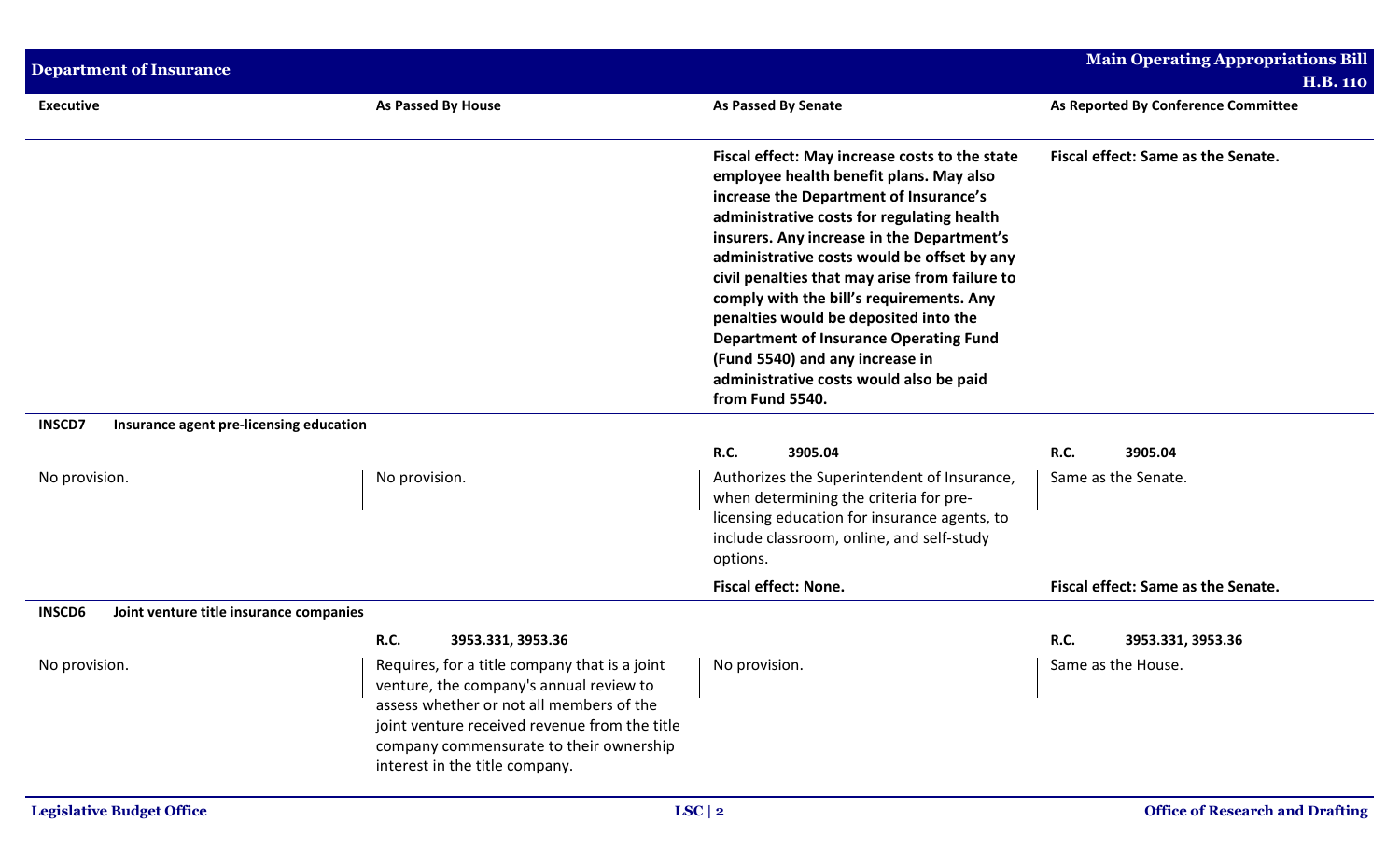| <b>Department of Insurance</b>                           |                                                                                                                                                                                                                                                                    |                                                                                                                                                                                                                                                                                                                                                                                                                                                                                                                                                                         | <b>Main Operating Appropriations Bill</b> |
|----------------------------------------------------------|--------------------------------------------------------------------------------------------------------------------------------------------------------------------------------------------------------------------------------------------------------------------|-------------------------------------------------------------------------------------------------------------------------------------------------------------------------------------------------------------------------------------------------------------------------------------------------------------------------------------------------------------------------------------------------------------------------------------------------------------------------------------------------------------------------------------------------------------------------|-------------------------------------------|
|                                                          |                                                                                                                                                                                                                                                                    |                                                                                                                                                                                                                                                                                                                                                                                                                                                                                                                                                                         | <b>H.B. 110</b>                           |
| <b>Executive</b>                                         | <b>As Passed By House</b>                                                                                                                                                                                                                                          | <b>As Passed By Senate</b>                                                                                                                                                                                                                                                                                                                                                                                                                                                                                                                                              | As Reported By Conference Committee       |
|                                                          |                                                                                                                                                                                                                                                                    | Fiscal effect: May increase costs to the state<br>employee health benefit plans. May also<br>increase the Department of Insurance's<br>administrative costs for regulating health<br>insurers. Any increase in the Department's<br>administrative costs would be offset by any<br>civil penalties that may arise from failure to<br>comply with the bill's requirements. Any<br>penalties would be deposited into the<br><b>Department of Insurance Operating Fund</b><br>(Fund 5540) and any increase in<br>administrative costs would also be paid<br>from Fund 5540. | Fiscal effect: Same as the Senate.        |
| <b>INSCD7</b><br>Insurance agent pre-licensing education |                                                                                                                                                                                                                                                                    |                                                                                                                                                                                                                                                                                                                                                                                                                                                                                                                                                                         |                                           |
| No provision.                                            | No provision.                                                                                                                                                                                                                                                      | <b>R.C.</b><br>3905.04<br>Authorizes the Superintendent of Insurance,<br>when determining the criteria for pre-<br>licensing education for insurance agents, to<br>include classroom, online, and self-study<br>options.                                                                                                                                                                                                                                                                                                                                                | R.C.<br>3905.04<br>Same as the Senate.    |
|                                                          |                                                                                                                                                                                                                                                                    | <b>Fiscal effect: None.</b>                                                                                                                                                                                                                                                                                                                                                                                                                                                                                                                                             | Fiscal effect: Same as the Senate.        |
| <b>INSCD6</b><br>Joint venture title insurance companies |                                                                                                                                                                                                                                                                    |                                                                                                                                                                                                                                                                                                                                                                                                                                                                                                                                                                         |                                           |
|                                                          | <b>R.C.</b><br>3953.331, 3953.36                                                                                                                                                                                                                                   |                                                                                                                                                                                                                                                                                                                                                                                                                                                                                                                                                                         | <b>R.C.</b><br>3953.331, 3953.36          |
| No provision.                                            | Requires, for a title company that is a joint<br>venture, the company's annual review to<br>assess whether or not all members of the<br>joint venture received revenue from the title<br>company commensurate to their ownership<br>interest in the title company. | No provision.                                                                                                                                                                                                                                                                                                                                                                                                                                                                                                                                                           | Same as the House.                        |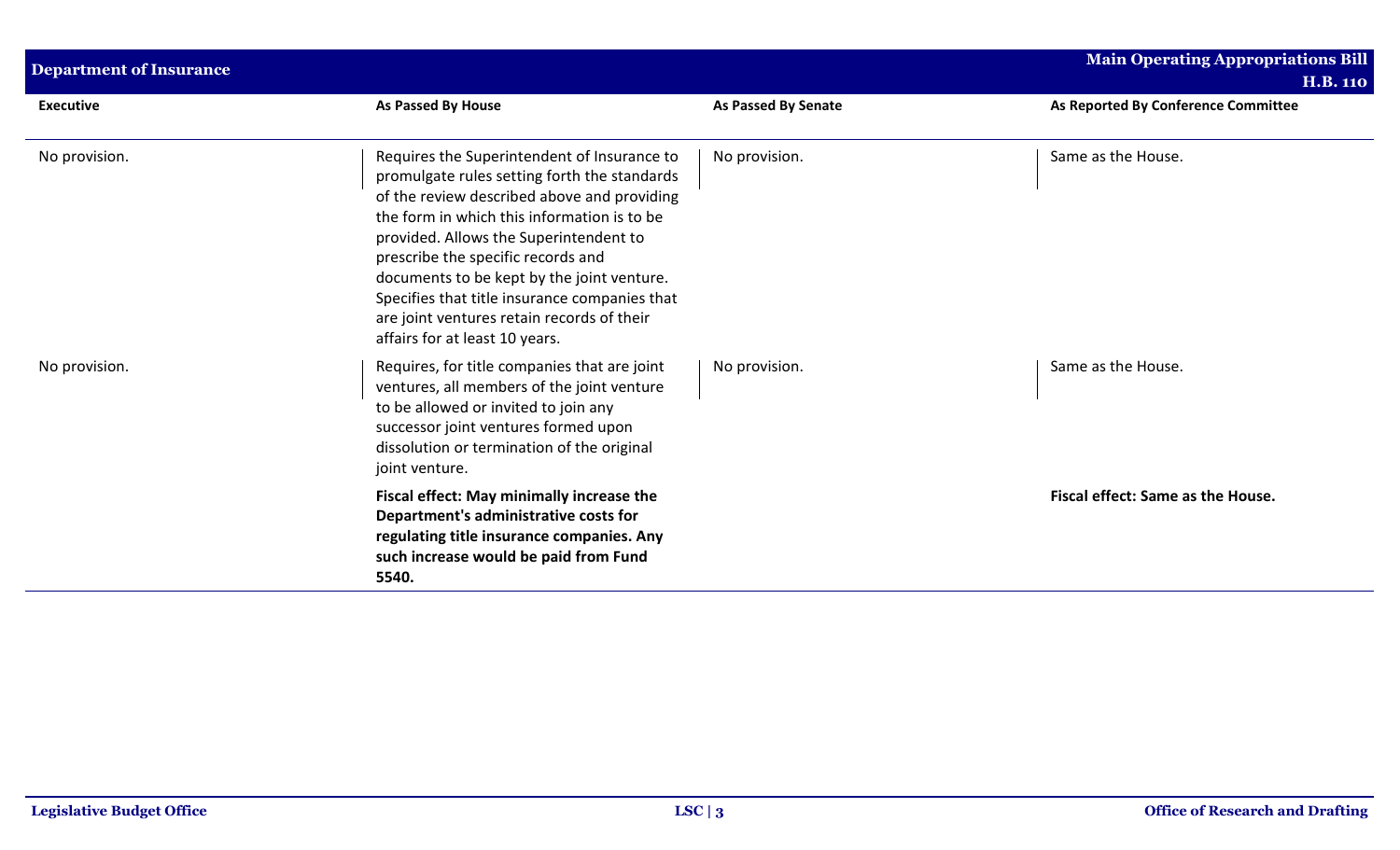| <b>Department of Insurance</b> |                                                                                                                                                                                                                                                                                                                                                                                                                                                          |                     | <b>Main Operating Appropriations Bill</b> |  |
|--------------------------------|----------------------------------------------------------------------------------------------------------------------------------------------------------------------------------------------------------------------------------------------------------------------------------------------------------------------------------------------------------------------------------------------------------------------------------------------------------|---------------------|-------------------------------------------|--|
|                                |                                                                                                                                                                                                                                                                                                                                                                                                                                                          |                     | <b>H.B. 110</b>                           |  |
| <b>Executive</b>               | As Passed By House                                                                                                                                                                                                                                                                                                                                                                                                                                       | As Passed By Senate | As Reported By Conference Committee       |  |
| No provision.                  | Requires the Superintendent of Insurance to<br>promulgate rules setting forth the standards<br>of the review described above and providing<br>the form in which this information is to be<br>provided. Allows the Superintendent to<br>prescribe the specific records and<br>documents to be kept by the joint venture.<br>Specifies that title insurance companies that<br>are joint ventures retain records of their<br>affairs for at least 10 years. | No provision.       | Same as the House.                        |  |
| No provision.                  | Requires, for title companies that are joint<br>ventures, all members of the joint venture<br>to be allowed or invited to join any<br>successor joint ventures formed upon<br>dissolution or termination of the original<br>joint venture.                                                                                                                                                                                                               | No provision.       | Same as the House.                        |  |
|                                | Fiscal effect: May minimally increase the<br>Department's administrative costs for<br>regulating title insurance companies. Any<br>such increase would be paid from Fund<br>5540.                                                                                                                                                                                                                                                                        |                     | Fiscal effect: Same as the House.         |  |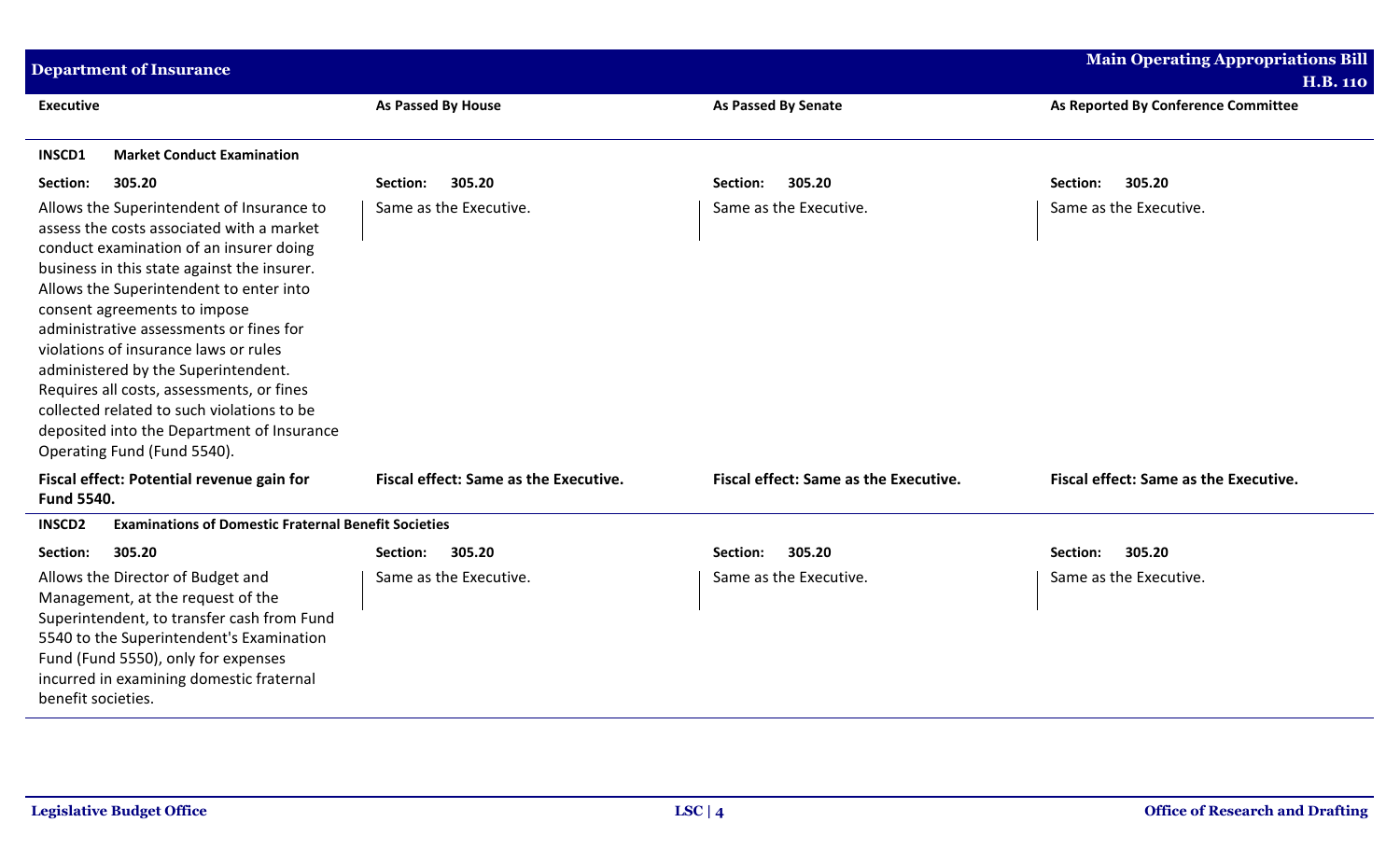| <b>Department of Insurance</b>                                                                                                                                                                                                                                                                                                                                                                                                                                                                                                                                 |                                       |                                       | <b>Main Operating Appropriations Bill</b><br><b>H.B. 110</b> |
|----------------------------------------------------------------------------------------------------------------------------------------------------------------------------------------------------------------------------------------------------------------------------------------------------------------------------------------------------------------------------------------------------------------------------------------------------------------------------------------------------------------------------------------------------------------|---------------------------------------|---------------------------------------|--------------------------------------------------------------|
| <b>Executive</b>                                                                                                                                                                                                                                                                                                                                                                                                                                                                                                                                               | As Passed By House                    | <b>As Passed By Senate</b>            | As Reported By Conference Committee                          |
| <b>INSCD1</b><br><b>Market Conduct Examination</b>                                                                                                                                                                                                                                                                                                                                                                                                                                                                                                             |                                       |                                       |                                                              |
| Section:<br>305.20                                                                                                                                                                                                                                                                                                                                                                                                                                                                                                                                             | 305.20<br><b>Section:</b>             | 305.20<br>Section:                    | 305.20<br>Section:                                           |
| Allows the Superintendent of Insurance to<br>assess the costs associated with a market<br>conduct examination of an insurer doing<br>business in this state against the insurer.<br>Allows the Superintendent to enter into<br>consent agreements to impose<br>administrative assessments or fines for<br>violations of insurance laws or rules<br>administered by the Superintendent.<br>Requires all costs, assessments, or fines<br>collected related to such violations to be<br>deposited into the Department of Insurance<br>Operating Fund (Fund 5540). | Same as the Executive.                | Same as the Executive.                | Same as the Executive.                                       |
| Fiscal effect: Potential revenue gain for<br><b>Fund 5540.</b>                                                                                                                                                                                                                                                                                                                                                                                                                                                                                                 | Fiscal effect: Same as the Executive. | Fiscal effect: Same as the Executive. | Fiscal effect: Same as the Executive.                        |
| <b>INSCD2</b><br><b>Examinations of Domestic Fraternal Benefit Societies</b>                                                                                                                                                                                                                                                                                                                                                                                                                                                                                   |                                       |                                       |                                                              |
| 305.20<br>Section:                                                                                                                                                                                                                                                                                                                                                                                                                                                                                                                                             | 305.20<br>Section:                    | 305.20<br>Section:                    | 305.20<br>Section:                                           |
| Allows the Director of Budget and<br>Management, at the request of the<br>Superintendent, to transfer cash from Fund<br>5540 to the Superintendent's Examination<br>Fund (Fund 5550), only for expenses<br>incurred in examining domestic fraternal<br>benefit societies.                                                                                                                                                                                                                                                                                      | Same as the Executive.                | Same as the Executive.                | Same as the Executive.                                       |